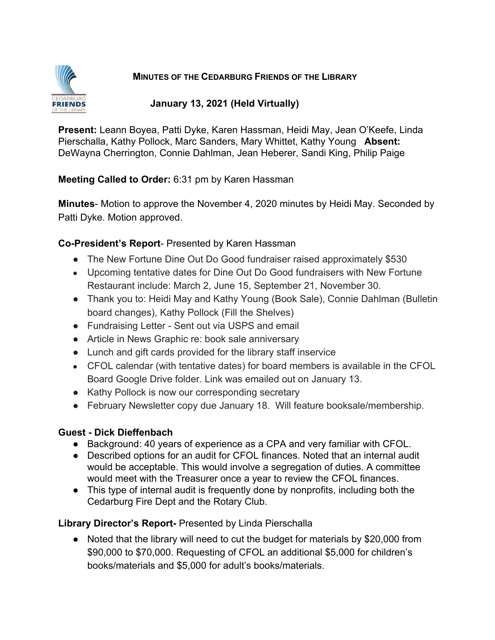

### **MINUTES OF THE CEDARBURG FRIENDS OF THE LIBRARY**

#### **January 13, 2021 (Held Virtually)**

**Present:** Leann Boyea, Patti Dyke, Karen Hassman, Heidi May, Jean O'Keefe, Linda Pierschalla, Kathy Pollock, Marc Sanders, Mary Whittet, Kathy Young **Absent:** DeWayna Cherrington, Connie Dahlman, Jean Heberer, Sandi King, Philip Paige

**Meeting Called to Order:** 6:31 pm by Karen Hassman

**Minutes**- Motion to approve the November 4, 2020 minutes by Heidi May. Seconded by Patti Dyke. Motion approved.

# **Co-President's Report**- Presented by Karen Hassman

- The New Fortune Dine Out Do Good fundraiser raised approximately \$530
- Upcoming tentative dates for Dine Out Do Good fundraisers with New Fortune Restaurant include: March 2, June 15, September 21, November 30.
- Thank you to: Heidi May and Kathy Young (Book Sale), Connie Dahlman (Bulletin board changes), Kathy Pollock (Fill the Shelves)
- Fundraising Letter Sent out via USPS and email
- Article in News Graphic re: book sale anniversary
- Lunch and gift cards provided for the library staff inservice
- CFOL calendar (with tentative dates) for board members is available in the CFOL Board Google Drive folder. Link was emailed out on January 13.
- Kathy Pollock is now our corresponding secretary
- February Newsletter copy due January 18. Will feature booksale/membership.

# **Guest - Dick Dieffenbach**

- Background: 40 years of experience as a CPA and very familiar with CFOL.
- Described options for an audit for CFOL finances. Noted that an internal audit would be acceptable. This would involve a segregation of duties. A committee would meet with the Treasurer once a year to review the CFOL finances.
- This type of internal audit is frequently done by nonprofits, including both the Cedarburg Fire Dept and the Rotary Club.

**Library Director's Report-** Presented by Linda Pierschalla

● Noted that the library will need to cut the budget for materials by \$20,000 from \$90,000 to \$70,000. Requesting of CFOL an additional \$5,000 for children's books/materials and \$5,000 for adult's books/materials.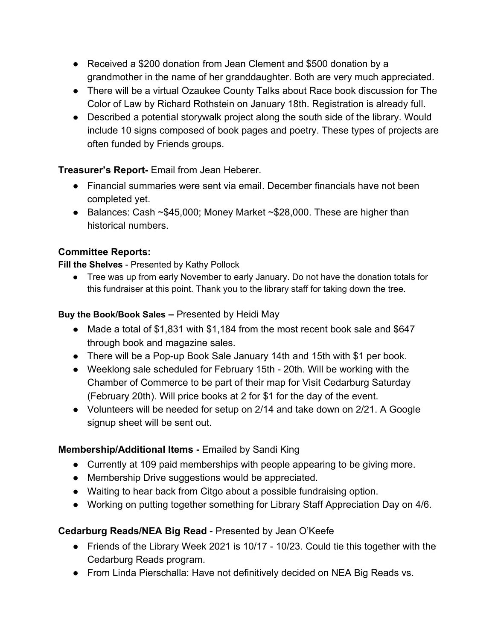- Received a \$200 donation from Jean Clement and \$500 donation by a grandmother in the name of her granddaughter. Both are very much appreciated.
- There will be a virtual Ozaukee County Talks about Race book discussion for The Color of Law by Richard Rothstein on January 18th. Registration is already full.
- Described a potential storywalk project along the south side of the library. Would include 10 signs composed of book pages and poetry. These types of projects are often funded by Friends groups.

**Treasurer's Report-** Email from Jean Heberer.

- Financial summaries were sent via email. December financials have not been completed yet.
- Balances: Cash ~\$45,000; Money Market ~\$28,000. These are higher than historical numbers.

# **Committee Reports:**

**Fill the Shelves** - Presented by Kathy Pollock

● Tree was up from early November to early January. Do not have the donation totals for this fundraiser at this point. Thank you to the library staff for taking down the tree.

### **Buy the Book/Book Sales –** Presented by Heidi May

- Made a total of \$1,831 with \$1,184 from the most recent book sale and \$647 through book and magazine sales.
- There will be a Pop-up Book Sale January 14th and 15th with \$1 per book.
- Weeklong sale scheduled for February 15th 20th. Will be working with the Chamber of Commerce to be part of their map for Visit Cedarburg Saturday (February 20th). Will price books at 2 for \$1 for the day of the event.
- Volunteers will be needed for setup on 2/14 and take down on 2/21. A Google signup sheet will be sent out.

# **Membership/Additional Items -** Emailed by Sandi King

- Currently at 109 paid memberships with people appearing to be giving more.
- Membership Drive suggestions would be appreciated.
- Waiting to hear back from Citgo about a possible fundraising option.
- Working on putting together something for Library Staff Appreciation Day on 4/6.

# **Cedarburg Reads/NEA Big Read** - Presented by Jean O'Keefe

- Friends of the Library Week 2021 is 10/17 10/23. Could tie this together with the Cedarburg Reads program.
- From Linda Pierschalla: Have not definitively decided on NEA Big Reads vs.